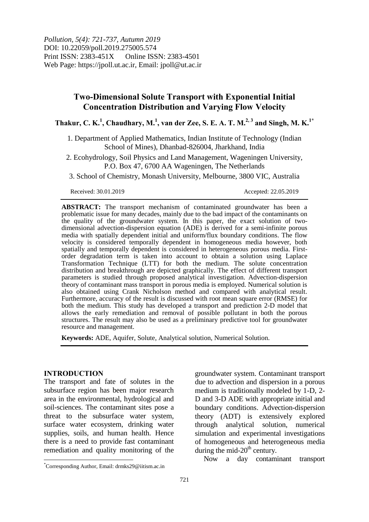*Pollution, 5(4): 721-737, Autumn 2019* DOI: 10.22059/poll.2019.275005.574 Print ISSN: 2383-451X Online ISSN: 2383-4501 Web Page: https://jpoll.ut.ac.ir, Email: jpoll@ut.ac.ir

# **Two-Dimensional Solute Transport with Exponential Initial Concentration Distribution and Varying Flow Velocity**

**Thakur, C. K. 1 , Chaudhary, M. 1 , van der Zee, S. E. A. T. M. 2, 3 and Singh, M. K. 1\***

1. Department of Applied Mathematics, Indian Institute of Technology (Indian School of Mines), Dhanbad-826004, Jharkhand, India

2. Ecohydrology, Soil Physics and Land Management, Wageningen University, P.O. Box 47, 6700 AA Wageningen, The Netherlands

3. School of Chemistry, Monash University, Melbourne, 3800 VIC, Australia

Received: 30.01.2019 Accepted: 22.05.2019

**ABSTRACT:** The transport mechanism of contaminated groundwater has been a problematic issue for many decades, mainly due to the bad impact of the contaminants on the quality of the groundwater system. In this paper, the exact solution of twodimensional advection-dispersion equation (ADE) is derived for a semi-infinite porous media with spatially dependent initial and uniform/flux boundary conditions. The flow velocity is considered temporally dependent in homogeneous media however, both spatially and temporally dependent is considered in heterogeneous porous media. Firstorder degradation term is taken into account to obtain a solution using Laplace Transformation Technique (LTT) for both the medium. The solute concentration distribution and breakthrough are depicted graphically. The effect of different transport parameters is studied through proposed analytical investigation. Advection-dispersion theory of contaminant mass transport in porous media is employed. Numerical solution is also obtained using Crank Nicholson method and compared with analytical result. Furthermore, accuracy of the result is discussed with root mean square error (RMSE) for both the medium. This study has developed a transport and prediction 2-D model that allows the early remediation and removal of possible pollutant in both the porous structures. The result may also be used as a preliminary predictive tool for groundwater resource and management.

**Keywords:** ADE, Aquifer, Solute, Analytical solution, Numerical Solution.

# **INTRODUCTION**

 $\overline{a}$ 

The transport and fate of solutes in the subsurface region has been major research area in the environmental, hydrological and soil-sciences. The contaminant sites pose a threat to the subsurface water system, surface water ecosystem, drinking water supplies, soils, and human health. Hence there is a need to provide fast contaminant remediation and quality monitoring of the

groundwater system. Contaminant transport due to advection and dispersion in a porous medium is traditionally modeled by 1-D, 2- D and 3-D ADE with appropriate initial and boundary conditions. Advection-dispersion theory (ADT) is extensively explored through analytical solution, numerical simulation and experimental investigations of homogeneous and heterogeneous media during the mid-20<sup>th</sup> century.

Now a day contaminant transport

<sup>\*</sup>Corresponding Author, Email: drmks29@iitism.ac.in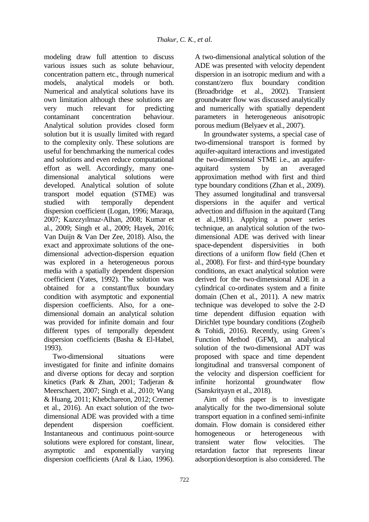modeling draw full attention to discuss various issues such as solute behaviour, concentration pattern etc., through numerical models, analytical models or both. Numerical and analytical solutions have its own limitation although these solutions are very much relevant for predicting contaminant concentration behaviour. Analytical solution provides closed form solution but it is usually limited with regard to the complexity only. These solutions are useful for benchmarking the numerical codes and solutions and even reduce computational effort as well. Accordingly, many onedimensional analytical solutions were developed. Analytical solution of solute transport model equation (STME) was<br>studied with temporally dependent with temporally dependent dispersion coefficient (Logan, 1996; Maraqa, 2007; Kazezyılmaz-Alhan, 2008; Kumar et al., 2009; Singh et al., 2009; Hayek, 2016; Van Duijn & Van Der Zee, 2018). Also, the exact and approximate solutions of the onedimensional advection-dispersion equation was explored in a heterogeneous porous media with a spatially dependent dispersion coefficient (Yates, 1992). The solution was obtained for a constant/flux boundary condition with asymptotic and exponential dispersion coefficients. Also, for a onedimensional domain an analytical solution was provided for infinite domain and four different types of temporally dependent dispersion coefficients (Basha & El-Habel, 1993).

Two-dimensional situations were investigated for finite and infinite domains and diverse options for decay and sorption kinetics (Park & Zhan, 2001; Tadjeran & Meerschaert, 2007; Singh et al., 2010; Wang & Huang, 2011; Khebchareon, 2012; Cremer et al., 2016). An exact solution of the twodimensional ADE was provided with a time dependent dispersion coefficient. Instantaneous and continuous point-source solutions were explored for constant, linear, asymptotic and exponentially varying dispersion coefficients (Aral & Liao, 1996).

A two-dimensional analytical solution of the ADE was presented with velocity dependent dispersion in an isotropic medium and with a constant/zero flux boundary condition (Broadbridge et al., 2002). Transient groundwater flow was discussed analytically and numerically with spatially dependent parameters in heterogeneous anisotropic porous medium (Belyaev et al., 2007).

In groundwater systems, a special case of two-dimensional transport is formed by aquifer-aquitard interactions and investigated the two-dimensional STME i.e., an aquiferaquitard system by an averaged approximation method with first and third type boundary conditions (Zhan et al., 2009). They assumed longitudinal and transversal dispersions in the aquifer and vertical advection and diffusion in the aquitard (Tang et al.,1981). Applying a power series technique, an analytical solution of the twodimensional ADE was derived with linear space-dependent dispersivities in both directions of a uniform flow field (Chen et al., 2008). For first- and third-type boundary conditions, an exact analytical solution were derived for the two-dimensional ADE in a cylindrical co-ordinates system and a finite domain (Chen et al., 2011). A new matrix technique was developed to solve the 2-D time dependent diffusion equation with Dirichlet type boundary conditions (Zogheib & Tohidi, 2016). Recently, using Green's Function Method (GFM), an analytical solution of the two-dimensional ADT was proposed with space and time dependent longitudinal and transversal component of the velocity and dispersion coefficient for infinite horizontal groundwater flow (Sanskrityayn et al., 2018).

Aim of this paper is to investigate analytically for the two-dimensional solute transport equation in a confined semi-infinite domain. Flow domain is considered either homogeneous or heterogeneous with transient water flow velocities. The retardation factor that represents linear adsorption/desorption is also considered. The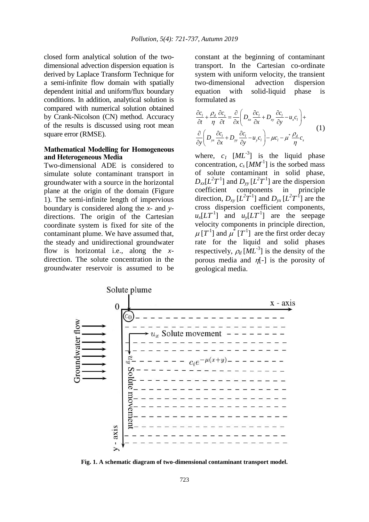closed form analytical solution of the twodimensional advection dispersion equation is derived by Laplace Transform Technique for a semi-infinite flow domain with spatially dependent initial and uniform/flux boundary conditions. In addition, analytical solution is compared with numerical solution obtained by Crank-Nicolson (CN) method. Accuracy of the results is discussed using root mean square error (RMSE).

## **Mathematical Modelling for Homogeneous and Heterogeneous Media**

Two-dimensional ADE is considered to simulate solute contaminant transport in groundwater with a source in the horizontal plane at the origin of the domain (Figure 1). The semi-infinite length of impervious boundary is considered along the *x*- and *y*directions. The origin of the Cartesian coordinate system is fixed for site of the contaminant plume. We have assumed that, the steady and unidirectional groundwater flow is horizontal i.e., along the *x*direction. The solute concentration in the groundwater reservoir is assumed to be

constant at the beginning of contaminant transport. In the Cartesian co-ordinate system with uniform velocity, the transient two-dimensional advection dispersion equation with solid-liquid phase is formulated as

$$
\frac{\partial c_l}{\partial t} + \frac{\rho_d}{\eta} \frac{\partial c_s}{\partial t} = \frac{\partial}{\partial x} \left( D_{xx} \frac{\partial c_l}{\partial x} + D_{xy} \frac{\partial c_l}{\partial y} - u_x c_l \right) + \n\frac{\partial}{\partial y} \left( D_{yx} \frac{\partial c_l}{\partial x} + D_{yy} \frac{\partial c_l}{\partial y} - u_y c_l \right) - \mu c_l - \mu^* \frac{\rho_d}{\eta} c_s
$$
\n(1)

where,  $c_I$   $[ML^{-3}]$  is the liquid phase concentration,  $c_s$  [ $MM$ <sup>-1</sup>] is the sorbed mass of solute contaminant in solid phase,  $D_{xx}[L^2T^1]$  and  $D_{yy}[L^2T^1]$  are the dispersion coefficient components in principle direction,  $D_{xy} [L^2 T^1]$  and  $D_{yx} [L^2 T^1]$  are the cross dispersion coefficient components,  $u_x[LT^{-1}]$  and  $u_y[LT^{-1}]$  are the seepage velocity components in principle direction,  $\mu[T^1]$  and  $\mu^*[T^1]$  are the first order decay rate for the liquid and solid phases respectively,  $\rho_d$   $[ML^{-3}]$  is the density of the porous media and  $\eta$ [-] is the porosity of geological media.



**Fig. 1. A schematic diagram of two-dimensional contaminant transport model.**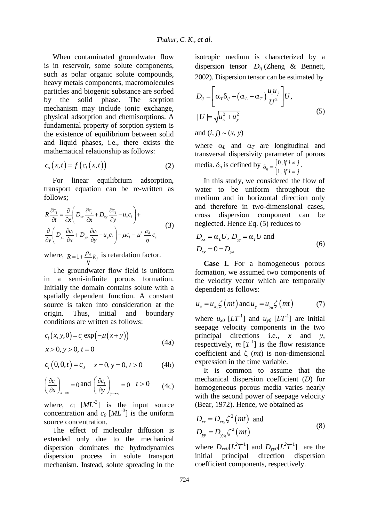When contaminated groundwater flow is in reservoir, some solute components, such as polar organic solute compounds, heavy metals components, macromolecules particles and biogenic substance are sorbed by the solid phase. The sorption mechanism may include ionic exchange, physical adsorption and chemisorptions. A fundamental property of sorption system is the existence of equilibrium between solid and liquid phases, i.e., there exists the mathematical relationship as follows:

$$
c_s(x,t) = f\left(c_t(x,t)\right) \tag{2}
$$

For linear equilibrium adsorption, transport equation can be re-written as follows;

$$
R \frac{\partial c_l}{\partial t} = \frac{\partial}{\partial x} \left( D_{xx} \frac{\partial c_l}{\partial x} + D_{xy} \frac{\partial c_l}{\partial y} - u_x c_l \right) +
$$
  
\n
$$
\frac{\partial}{\partial y} \left( D_{yx} \frac{\partial c_l}{\partial x} + D_{yy} \frac{\partial c_l}{\partial y} - u_y c_l \right) - \mu c_l - \mu^* \frac{\rho_d}{\eta} c_s
$$
\n(3)

where,  $R = 1 + \frac{\rho_d}{n} k_f$ η  $=$ 1+ $\frac{\rho_d}{k_f}$  is retardation factor.

The groundwater flow field is uniform in a semi-infinite porous formation. Initially the domain contains solute with a spatially dependent function. A constant source is taken into consideration at the origin. Thus, initial and boundary conditions are written as follows:

$$
c_i(x, y, 0) = c_i \exp(-\mu(x + y))
$$
  
x > 0, y > 0, t = 0 (4a)

$$
c_1(0,0,t) = c_0 \t x = 0, y = 0, t > 0 \t (4b)
$$

$$
\left(\frac{\partial c_t}{\partial x}\right)_{x\to\infty} = 0 \text{ and } \left(\frac{\partial c_t}{\partial y}\right)_{y\to\infty} = 0 \quad t > 0 \tag{4c}
$$

where,  $c_i$   $[ML^{-3}]$  is the input source concentration and  $c_0$   $[ML^{-3}]$  is the uniform source concentration.

The effect of molecular diffusion is extended only due to the mechanical dispersion dominates the hydrodynamics dispersion process in solute transport mechanism. Instead, solute spreading in the isotropic medium is characterized by a dispersion tensor *Dij* (Zheng & Bennett, 2002). Dispersion tensor can be estimated by

$$
D_{ij} = \left[\alpha_{T}\delta_{ij} + (\alpha_{L} - \alpha_{T})\frac{u_{i}u_{j}}{U^{2}}\right]U,
$$
  
\n
$$
|U| = \sqrt{u_{x}^{2} + u_{y}^{2}}
$$
\n(5)

and  $(i, j) \sim (x, y)$ 

where  $\alpha_L$  and  $\alpha_T$  are longitudinal and transversal dispersivity parameter of porous media.  $\delta_{ij}$  is defined by  $\delta_{ij} = \begin{cases} 0, & \end{cases}$  $\frac{1}{y} - 1,$ *if*  $i \neq j$ *if*  $i = j$  $\delta_{ij} = \begin{cases} 0, & \text{if } i \neq j \\ 1, & \text{if } i \neq j \end{cases}$  $\left[1, if i\right]$ .

In this study, we considered the flow of water to be uniform throughout the medium and in horizontal direction only and therefore in two-dimensional cases, cross dispersion component can be neglected. Hence Eq. (5) reduces to

$$
D_{xx} = \alpha_L U, D_{yy} = \alpha_T U \text{ and}
$$
  
\n
$$
D_{xy} = 0 = D_{yx}
$$
\n(6)

**Case I.** For a homogeneous porous formation, we assumed two components of the velocity vector which are temporally dependent as follows:

$$
u_x = u_{x_0} \zeta \left(mt \right) \text{ and } u_y = u_{y_0} \zeta \left(mt \right) \tag{7}
$$

where  $u_{x0}$  [ $LT^{-1}$ ] and  $u_{y0}$  [ $LT^{-1}$ ] are initial seepage velocity components in the two principal directions i.e., *x* and *y*, respectively,  $m[T^1]$  is the flow resistance coefficient and  $\zeta$  (*mt*) is non-dimensional expression in the time variable.

It is common to assume that the mechanical dispersion coefficient (*D*) for homogeneous porous media varies nearly with the second power of seepage velocity (Bear, 1972). Hence, we obtained as

$$
D_{xx} = D_{xx_0} \zeta^2 (mt) \text{ and}
$$
  
\n
$$
D_{yy} = D_{yy_0} \zeta^2 (mt)
$$
\n(8)

where  $D_{xx0}[L^2T^1]$  and  $D_{yy0}[L^2T^1]$  are the initial principal direction dispersion coefficient components, respectively.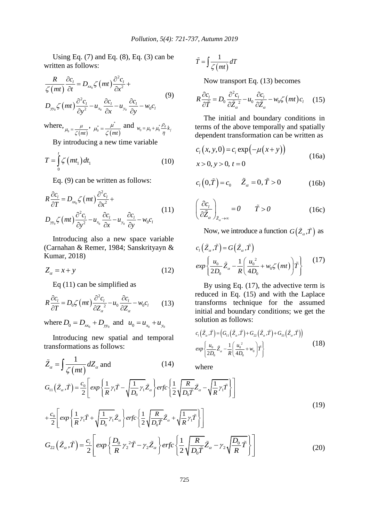Using Eq.  $(7)$  and Eq.  $(8)$ , Eq.  $(3)$  can be written as follows:

$$
\frac{R}{\zeta(mt)} \frac{\partial c_l}{\partial t} = D_{xx_0} \zeta(mt) \frac{\partial^2 c_l}{\partial x^2} +
$$
  
\n
$$
D_{yy_0} \zeta(mt) \frac{\partial^2 c_l}{\partial y^2} - u_{x_0} \frac{\partial c_l}{\partial x} - u_{y_0} \frac{\partial c_l}{\partial y} - w_0 c_l
$$
\n(9)

where,  $\mu_0 = \frac{\mu}{\zeta(mt)}$ ,  $(mt)$  $\mu_0^* = \frac{\mu^*}{\zeta(mt)}$  and  $w_0 = \mu_0 + \mu_0^* \frac{\rho_d}{\eta} k_f$ 

By introducing a new time variable

$$
T = \int_{0}^{t} \zeta \left( mt_{1} \right) dt_{1}
$$
 (10)

Eq. (9) can be written as follows:  
\n
$$
R \frac{\partial c_l}{\partial T} = D_{xx_0} \zeta (mt) \frac{\partial^2 c_l}{\partial x^2} +
$$
\n
$$
D_{yy_0} \zeta (mt) \frac{\partial^2 c_l}{\partial y^2} - u_{x_0} \frac{\partial c_l}{\partial x} - u_{y_0} \frac{\partial c_l}{\partial y} - w_0 c_l
$$
\n(11)

Introducing also a new space variable (Carnahan & Remer, 1984; Sanskrityayn & Kumar, 2018)

$$
Z_{\alpha} = x + y \tag{12}
$$

 $\tilde{Z}_a = \int \frac{1}{z(a)} dZ$ 

Eq (11) can be simplified as  
\n
$$
R \frac{\partial c_l}{\partial T} = D_0 \zeta (mt) \frac{\partial^2 c_l}{\partial Z_a^2} - u_0 \frac{\partial c_l}{\partial Z_a} - w_0 c_l
$$
\n(13)

where  $D_0 = D_{xx_0} + D_{yy_0}$  and  $u_0 = u_{x_0} + u_{y_0}$ 

Introducing new spatial and temporal transformations as follows:

$$
\widetilde{T} = \int \frac{1}{\zeta(mt)} dT
$$

Now transport Eq. (13) becomes  
\n
$$
R \frac{\partial c_l}{\partial \tilde{T}} = D_0 \frac{\partial^2 c_l}{\partial \tilde{Z}_a^2} - u_0 \frac{\partial c_l}{\partial \tilde{Z}_a} - w_0 \zeta (mt) c_l \quad (15)
$$

The initial and boundary conditions in terms of the above temporally and spatially dependent transformation can be written as

$$
c_i(x, y, 0) = c_i \exp(-\mu(x+y))
$$
  
x > 0, y > 0, t = 0 (16a)

$$
c_{\ell}(0,\tilde{T}) = c_0 \qquad \tilde{Z}_{\alpha} = 0, \tilde{T} > 0 \tag{16b}
$$

$$
\left(\frac{\partial c_l}{\partial \tilde{Z}_{\alpha}}\right)_{\tilde{Z}_{\alpha}\to\infty} = 0 \qquad \tilde{T} > 0 \tag{16c}
$$

Now, we introduce a function  $G(\tilde{Z}_{\alpha}, \tilde{T})$  as

$$
c_i\left(\tilde{Z}_{\alpha}, \tilde{T}\right) = G\left(\tilde{Z}_{\alpha}, \tilde{T}\right)
$$
  
\n
$$
exp\left\{\frac{u_0}{2D_0}\tilde{Z}_{\alpha} - \frac{1}{R}\left(\frac{u_0^2}{4D_0} + w_0\zeta\left(mt\right)\right)\tilde{T}\right\}
$$
\n(17)

By using Eq. (17), the advective term is reduced in Eq. (15) and with the Laplace transforms technique for the assumed initial and boundary conditions; we get the solution as follows:

$$
c_1(\tilde{Z}_\alpha, \tilde{T}) = (G_{11}(\tilde{Z}_\alpha, \tilde{T}) + G_{22}(\tilde{Z}_\alpha, \tilde{T}) + G_{33}(\tilde{Z}_\alpha, \tilde{T}))
$$
  
\n
$$
exp\left\{\frac{u_0}{2D_0}\tilde{Z}_\alpha - \frac{1}{R}\left(\frac{u_0^2}{4D_0} + w_0\right)\tilde{T}\right\}
$$
\n(18)

where

$$
\tilde{Z}_{\alpha} = \int \frac{1}{\zeta(mt)} dZ_{\alpha} \text{ and } \qquad (14) \qquad \text{where}
$$
\n
$$
G_{11}(\tilde{Z}_{\alpha}, \tilde{T}) = \frac{c_0}{2} \left[ exp \left\{ \frac{1}{R} \gamma_1 \tilde{T} - \sqrt{\frac{1}{D_0} \gamma_1} \tilde{Z}_{\alpha} \right\} erfc \left\{ \frac{1}{2} \sqrt{\frac{R}{D_0 \tilde{T}}} \tilde{Z}_{\alpha} - \sqrt{\frac{1}{R} \gamma_1} \tilde{T} \right\} \right]
$$
\n
$$
+ \frac{c_0}{2} \left[ exp \left\{ \frac{1}{R} \gamma_1 \tilde{T} + \sqrt{\frac{1}{D_0} \gamma_1} \tilde{Z}_{\alpha} \right\} erfc \left\{ \frac{1}{2} \sqrt{\frac{R}{D_0 \tilde{T}}} \tilde{Z}_{\alpha} + \sqrt{\frac{1}{R} \gamma_1} \tilde{T} \right\} \right]
$$
\n
$$
G_{22}(\tilde{Z}_{\alpha}, \tilde{T}) = \frac{c_i}{2} \left[ exp \left\{ \frac{D_0}{R} \gamma_2^2 \tilde{T} - \gamma_2 \tilde{Z}_{\alpha} \right\} erfc \left\{ \frac{1}{2} \sqrt{\frac{R}{D_0 \tilde{T}}} \tilde{Z}_{\alpha} - \gamma_2 \sqrt{\frac{D_0}{R} \tilde{T}} \right\} \right]
$$
\n(19)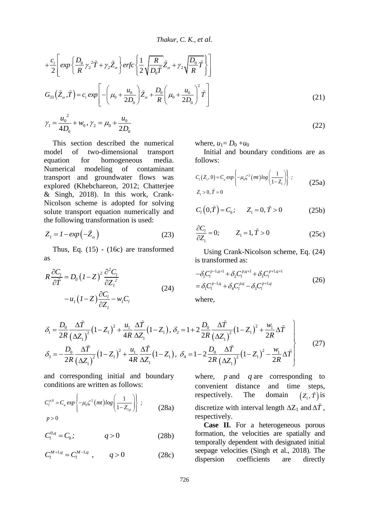*Thakur, C. K., et al.*

$$
Thakur, C. K., et al.
$$
  
+
$$
\frac{c_i}{2} \left[ exp\left\{ \frac{D_0}{R} \gamma_2^2 \tilde{T} + \gamma_2 \tilde{Z}_\alpha \right\} erfc\left\{ \frac{1}{2} \sqrt{\frac{R}{D_0 \tilde{T}}} \tilde{Z}_\alpha + \gamma_2 \sqrt{\frac{D_0}{R} \tilde{T}} \right\} \right]
$$
  

$$
G_{33}(\tilde{Z}_\alpha, \tilde{T}) = c_i exp\left[ -\left( \mu_0 + \frac{u_0}{2D_0} \right) \tilde{Z}_\alpha + \frac{D_0}{R} \left( \mu_0 + \frac{u_0}{2D_0} \right)^2 \tilde{T} \right]
$$
  

$$
2 \qquad (21)
$$

 $\gamma_1 = \frac{u_0^2}{4D_0} + w_0, \gamma_2 = \mu_0 + \frac{u_0}{2D_0}$  $\frac{u_0^2}{4D} + w_0, \gamma_2 = \mu_0 + \frac{u_0^2}{24}$  $\frac{\mu_0}{D_0}$  +  $W_0$ ,  $\gamma_2$  =  $\mu_0$  +  $\frac{\mu_0}{2D_0}$  $\gamma_1 = \frac{u_0^2}{4D} + w_0, \gamma_2 = \mu_0 + \frac{u_0}{2D}$ 

This section described the numerical model of two-dimensional transport equation for homogeneous media.<br>Numerical modeling of contaminant Numerical modeling of contaminant transport and groundwater flows was explored (Khebchareon, 2012; Chatterjee & Singh, 2018). In this work, Crank-Nicolson scheme is adopted for solving solute transport equation numerically and the following transformation is used:

$$
Z_{I} = I - exp(-\tilde{Z}_{\alpha})
$$
 (23)

Thus, Eq. (15) - (16c) are transformed as

$$
R\frac{\partial C_l}{\partial \tilde{T}} = D_0 (1 - Z)^2 \frac{\partial^2 C_l}{\partial Z_l^2}
$$
  
-  $u_l (1 - Z) \frac{\partial C_l}{\partial Z_l} - w_l C_l$  (24)

where,  $u_1 = D_0 + u_0$ 

Initial and boundary conditions are as follows:

(22)

$$
C_1(Z_1, 0) = C_a \exp\left\{-\mu_0 \zeta^2 (mt) \log\left(\frac{1}{1 - Z_1}\right)\right\};
$$
  
\n
$$
Z_1 > 0, \tilde{T} = 0
$$
\n(25a)

$$
C_{1}(0,\tilde{T}) = C_{b}; \qquad Z_{1} = 0, \tilde{T} > 0 \tag{25b}
$$

$$
\frac{\partial C_l}{\partial Z_l} = 0; \qquad Z_l = 1, \tilde{T} > 0 \tag{25c}
$$

Using Crank-Nicolson scheme, Eq. (24) is transformed as:

$$
-\delta_1 C_l^{p-1,q+1} + \delta_2 C_l^{p,q+1} + \delta_3 C_l^{p+1,q+1}
$$
  
=  $\delta_1 C_l^{p-1,q} + \delta_4 C_l^{p,q} - \delta_3 C_l^{p+1,q}$  (26)

where,

$$
-u_{1}(1-Z)\frac{\partial C_{1}}{\partial Z_{1}}-w_{1}C_{1} \text{ where,}
$$
\n
$$
\delta_{1} = \frac{D_{0}}{2R} \frac{\Delta \tilde{T}}{(\Delta Z_{1})^{2}}(1-Z_{1})^{2} + \frac{u_{1}}{4R} \frac{\Delta \tilde{T}}{\Delta Z_{1}}(1-Z_{1}), \delta_{2} = 1 + 2\frac{D_{0}}{2R} \frac{\Delta \tilde{T}}{(\Delta Z_{1})^{2}}(1-Z_{1})^{2} + \frac{w_{1}}{2R} \Delta \tilde{T}
$$
\n
$$
\delta_{3} = -\frac{D_{0}}{2R} \frac{\Delta \tilde{T}}{(\Delta Z_{1})^{2}}(1-Z_{1})^{2} + \frac{u_{1}}{4R} \frac{\Delta \tilde{T}}{\Delta Z_{1}}(1-Z_{1}), \delta_{4} = 1 - 2\frac{D_{0}}{2R} \frac{\Delta \tilde{T}}{(\Delta Z_{1})^{2}}(1-Z_{1})^{2} - \frac{w_{1}}{2R} \Delta \tilde{T}
$$
\n(27)

and corresponding initial and boundary conditions are written as follows:

$$
C_l^{p,0} = C_a \exp\left\{-\mu_0 \zeta^2 (mt) \log\left(\frac{1}{1 - Z_{1p}}\right)\right\} ;
$$
\n
$$
p > 0
$$
\n(28a)

$$
C_l^{0,q} = C_b; \t\t q > 0 \t\t (28b)
$$

$$
C_l^{M+1,q} = C_l^{M-1,q} \t , \t q > 0 \t (28c)
$$

where, *p* and *q* are corresponding to convenient distance and time steps, respectively. The domain  $\left( Z_{_{1}},\tilde{T}\right)$  is discretize with interval length  $\Delta Z_1$  and  $\Delta T$ , respectively.

**Case II.** For a heterogeneous porous formation, the velocities are spatially and temporally dependent with designated initial seepage velocities (Singh et al., 2018). The dispersion coefficients are directly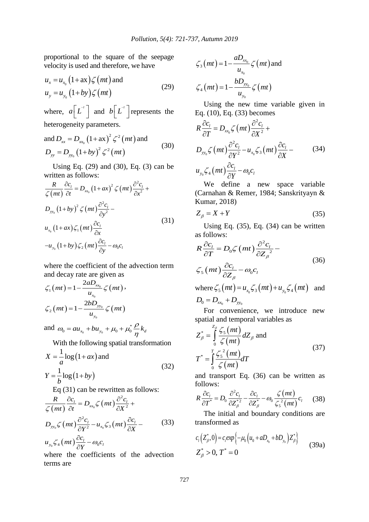proportional to the square of the seepage velocity is used and therefore, we have

$$
u_x = u_{x_0} \left( 1 + ax \right) \zeta \left( mt \right) \text{ and}
$$
  
\n
$$
u_y = u_{y_0} \left( 1 + by \right) \zeta \left( mt \right) \tag{29}
$$

where,  $a \left[ L^{\text{-}1} \right]$  and  $b \left[ L^{\text{-}1} \right]$  represents the heterogeneity parameters.

and 
$$
D_{xx} = D_{xx_0} (1 + \alpha x)^2 \zeta^2 (mt)
$$
 and  
\n $D_{yy} = D_{yy_0} (1 + by)^2 \zeta^2 (mt)$  (30)

Using Eq. (29) and (30), Eq. (3) can be

written as follows:  
\n
$$
\frac{R}{\zeta(mt)} \frac{\partial c_l}{\partial t} = D_{xx_0} (1 + ax)^2 \zeta(mt) \frac{\partial^2 c_l}{\partial x^2} + D_{yy_0} (1 + by)^2 \zeta(mt) \frac{\partial^2 c_l}{\partial y^2} - u_{x_0} (1 + ax) \zeta_1(mt) \frac{\partial c_l}{\partial x}
$$
\n
$$
(31)
$$
\n
$$
-u_{y_0} (1 + by) \zeta_2(mt) \frac{\partial c_l}{\partial y} - \omega_0 c_l
$$

where the coefficient of the advection term and decay rate are given as

$$
\zeta_1\left(mt\right) = 1 - \frac{2aD_{xx_0}}{u_{x_0}} \zeta\left(mt\right),
$$
  

$$
\zeta_2\left(mt\right) = 1 - \frac{2bD_{yy_0}}{u_{y_0}} \zeta\left(mt\right)
$$

and  $\omega_0 = a u_{x_0} + b u_{y_0} + \mu_0 + \mu_0^*$  $\omega_0 = a u_{x_0} + b u_{y_0} + \mu_0 + \mu_0^* \frac{\rho}{n} k_d$  $\rho$  $\omega_0 = a u_{x_0} + b u_{y_0} + \mu_0 + \mu_0^* \frac{\rho}{\eta}$ 

With the following spatial transformation

$$
X = \frac{1}{a} \log(1+ax) \text{ and}
$$
  
\n
$$
Y = \frac{1}{b} \log(1+by)
$$
\n(32)

Eq (31) can be rewritten as follows:  
\n
$$
\frac{R}{\zeta(mt)} \frac{\partial c_l}{\partial t} = D_{xx_0} \zeta(mt) \frac{\partial^2 c_l}{\partial X^2} +
$$
\n
$$
D_{yy_0} \zeta(mt) \frac{\partial^2 c_l}{\partial Y^2} - u_{x_0} \zeta_3(mt) \frac{\partial c_l}{\partial X} -
$$
\n
$$
u_{y_0} \zeta_4(mt) \frac{\partial c_l}{\partial Y} - \omega_0 c_l
$$
\n(33)

where the coefficients of the advection terms are

$$
\zeta_3\left(mt\right) = 1 - \frac{aD_{xx_0}}{u_{x_0}} \zeta\left(mt\right) \text{ and}
$$

$$
\zeta_4\left(mt\right) = 1 - \frac{bD_{yy_0}}{u_{y_0}} \zeta\left(mt\right)
$$

Using the new time variable given in

Eq. (10), Eq. (33) becomes  
\n
$$
R \frac{\partial c_l}{\partial T} = D_{xx_0} \zeta (mt) \frac{\partial^2 c_l}{\partial X^2} +
$$
\n
$$
D_{yy_0} \zeta (mt) \frac{\partial^2 c_l}{\partial Y^2} - u_{x_0} \zeta_3 (mt) \frac{\partial c_l}{\partial X} -
$$
\n
$$
u_{y_0} \zeta_4 (mt) \frac{\partial c_l}{\partial Y} - \omega_0 c_l
$$
\n(34)

We define a new space variable (Carnahan & Remer, 1984; Sanskrityayn & Kumar, 2018)

$$
Z_{\beta} = X + Y \tag{35}
$$

Using Eq. (35), Eq. (34) can be written as follows:

as follows.  
\n
$$
R \frac{\partial c_l}{\partial T} = D_0 \zeta (mt) \frac{\partial^2 c_l}{\partial Z_\beta^2} -
$$
\n
$$
\zeta_5 (mt) \frac{\partial c_l}{\partial Z_\beta} - \omega_0 c_l
$$
\nwhere  $\zeta_5 (mt) = u_{x_0} \zeta_3 (mt) + u_{y_0} \zeta_4 (mt)$  and

where 
$$
\zeta_5(mt) = u_{x_0} \zeta_3(mt) + u_{y_0} \zeta_4(mt)
$$
 and  
\n $D_0 = D_{x_0} + D_{y_0}$ 

For convenience, we introduce new spatial and temporal variables as

$$
Z_{\beta}^{*} = \int_{0}^{Z_{\beta}} \frac{\zeta_{5}(mt)}{\zeta(mt)} dZ_{\beta} \text{ and}
$$
  

$$
T^{*} = \int_{0}^{T} \frac{\zeta_{5}^{2}(mt)}{\zeta(mt)} dT
$$
 (37)

and transport Eq. (36) can be written as follows:

follows:  
\n
$$
R\frac{\partial c_l}{\partial T^*} = D_0 \frac{\partial^2 c_l}{\partial Z_{\beta}^{*2}} - \frac{\partial c_l}{\partial Z_{\beta}^{*}} - \omega_0 \frac{\zeta(mt)}{\zeta_5^2(mt)} c_l
$$
\n(38)

The initial and boundary conditions are transformed as

$$
c_{1}(Z_{\beta}^{*},0)=c_{i}exp\{-\mu_{0}(u_{0}+aD_{x_{0}}+bD_{y_{0}})Z_{\beta}^{*}\}\
$$
  

$$
Z_{\beta}^{*}>0, T^{*}=0
$$
 (39a)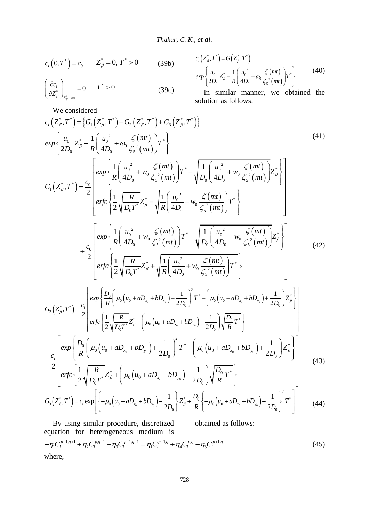$$
c_{t}(0,T^*) = c_0 \t Z_{\beta}^* = 0, T^* > 0 \t (39b)
$$

$$
\left(\frac{\partial c_l}{\partial Z_{\beta}^*}\right)_{Z_{\beta}^*\to\infty} = 0 \qquad T^* > 0 \tag{39c}
$$

 $c_{\iota}(Z_{\beta}^*,T^*) = G(Z_{\beta}^*,T^*)$  $(mt)$  $(mt)$  $\frac{d_0}{d_0} Z_{\beta}^* - \frac{1}{R} \left( \frac{u_0^2}{4D_0} + \omega_0 \frac{\zeta(mt)}{\zeta_s^2(mt)} \right) T^*$  $\frac{u_0}{2D_0}Z^*_{\beta} - \frac{1}{R}\left(\frac{u}{4}\right)$  $\exp \left\{ \frac{u_0}{2D} Z_{\beta}^* - \frac{1}{R} \left( \frac{u_0^2}{4D} + \omega_0 \frac{\zeta(mt)}{z^2(mt)} \right\} T$  $rac{u_0}{D_0}Z^*_{\beta} - \frac{1}{R} \left( \frac{u_0^2}{4D_0} + \omega_0 \frac{\zeta (mt)}{\zeta_5^2 (mt)} \right)$ þ  $\omega_0 \frac{\zeta}{\zeta_5}$  $\left\{\frac{u_0}{z_0^*}-\frac{1}{w_0}\left(\frac{u_0^2}{z_0^*}+\frac{C}{w_0}\right)^2\right\}$  $\left\{\frac{u_0}{2D_0}Z_{\beta}^* - \frac{1}{R}\left(\frac{u_0^2}{4D_0} + \omega_0 \frac{\zeta(mt)}{\zeta_s^2(mt)}\right)T^*\right\}$ (40)

In similar manner, we obtained the solution as follows:

We considered  
\n
$$
c_{1}(Z_{\beta}^{*},T^{*}) = \left\{G_{1}(Z_{\beta}^{*},T^{*}) - G_{2}(Z_{\beta}^{*},T^{*}) + G_{3}(Z_{\beta}^{*},T^{*})\right\}
$$
\n
$$
exp\left\{\frac{u_{0}}{2D_{0}}Z_{\beta}^{*} - \frac{1}{R}\left(\frac{u_{0}^{2}}{4D_{0}} + \omega_{0}\frac{\zeta(mt)}{\zeta_{5}^{2}(mt)}\right)T^{*}\right\}
$$
\n
$$
G_{1}(Z_{\beta}^{*},T^{*}) = \frac{c_{0}}{2}\left[exp\left\{\frac{1}{R}\left(\frac{u_{0}^{2}}{4D_{0}} + w_{0}\frac{\zeta(mt)}{\zeta_{5}^{2}(mt)}\right)T^{*} - \sqrt{\frac{1}{D_{0}}\left(\frac{u_{0}^{2}}{4D_{0}} + w_{0}\frac{\zeta(mt)}{\zeta_{5}^{2}(mt)}\right)}Z_{\beta}^{*}\right\}
$$
\n
$$
erfc\left\{\frac{1}{2}\sqrt{\frac{R}{D_{0}T^{*}}}Z_{\beta}^{*} - \sqrt{\frac{1}{R}\left(\frac{u_{0}^{2}}{4D_{0}} + w_{0}\frac{\zeta(mt)}{\zeta_{5}^{2}(mt)}\right)T^{*}}\right\}
$$
\n(41)

2

$$
G_{1}(Z_{\beta}^{*},T^{*}) = \frac{c_{0}}{2} \left[ \text{erfc}\left\{\frac{1}{2}\sqrt{\frac{R}{D_{0}T^{*}}}Z_{\beta}^{*} - \sqrt{\frac{1}{R}\left(\frac{u_{0}^{2}}{4D_{0}} + w_{0}\frac{\zeta(mt)}{\zeta_{5}^{2}(mt)}\right)T^{*}}\right\} \right]
$$
\n
$$
+ \frac{c_{0}}{2} \left[ \text{exp}\left\{\frac{1}{R}\left(\frac{u_{0}^{2}}{4D_{0}} + w_{0}\frac{\zeta(mt)}{\zeta_{5}^{2}(mt)}\right)T^{*} + \sqrt{\frac{1}{D_{0}}\left(\frac{u_{0}^{2}}{4D_{0}} + w_{0}\frac{\zeta(mt)}{\zeta_{5}^{2}(mt)}\right)Z_{\beta}^{*}}\right\} + \frac{c_{0}}{2} \left[ \text{erfc}\left\{\frac{1}{2}\sqrt{\frac{R}{D_{0}T^{*}}}Z_{\beta}^{*} + \sqrt{\frac{1}{R}\left(\frac{u_{0}^{2}}{4D_{0}} + w_{0}\frac{\zeta(mt)}{\zeta_{5}^{2}(mt)}\right)T^{*}}\right\} \right]
$$
\n
$$
+ \frac{c_{0}}{2} \left[ \text{exp}\left\{\frac{D_{0}}{R}\left(\mu_{0}\left(u_{0} + aD_{x_{0}} + bD_{y_{0}}\right) + \frac{1}{2D_{0}}\right)^{2}T^{*} - \left(\mu_{0}\left(u_{0} + aD_{x_{0}} + bD_{y_{0}}\right) + \frac{1}{2D_{0}}\right)Z_{\beta}^{*} \right\} \right]
$$
\n
$$
+ \frac{1}{2} \left[ \text{exp}\left\{\frac{D_{0}}{R}\left(\mu_{0}\left(u_{0} + aD_{x_{0}} + bD_{y_{0}}\right) + \frac{1}{2D_{0}}\right)^{2}T^{*} - \left(\mu_{0}\left(u_{0} + aD_{x_{0}} + bD_{y_{0}}\right) + \frac{1}{2D_{0}}\right)Z_{\beta}^{*} \right] \right]
$$
\n(42)

 $(mt)$ 

 $\zeta$ 

 0 0 0 0 0 0 2 <sup>0</sup> \* \* 0 0 0 0 0 0 \* \* 2 \* \* <sup>0</sup> \* 0 0 0 0 2 2 , 2 1 1 2 2 *x y x y i x y D <sup>c</sup> R D D G Z T R D erfc Z u aD bD T D T D R* 0 0 0 0 0 0 2 <sup>0</sup> \* \* 0 0 0 0 0 0 \* \* <sup>0</sup> \* 0 0 0 0 1 1 2 2 2 1 1 2 2 *x y x y i x y D exp u aD bD T u aD bD Z <sup>c</sup> R D D R D erfc Z u aD bD T D T D R* (43) 1 1 

$$
\left[ erfc\left\{\frac{1}{2}\sqrt{\frac{R}{D_0T^*}}Z_{\beta}^* + \left(\mu_0\left(u_0 + aD_{x_0} + bD_{y_0}\right) + \frac{1}{2D_0}\right)\sqrt{\frac{D_0}{R}}T^*\right\}\right]
$$
  
\n
$$
G_3(Z_{\beta}^*,T^*) = c_i \exp\left[\left\{-\mu_0\left(u_0 + aD_{x_0} + bD_{y_0}\right) - \frac{1}{2D_0}\right\}Z_{\beta}^* + \frac{D_0}{R}\left\{-\mu_0\left(u_0 + aD_{x_0} + bD_{y_0}\right) - \frac{1}{2D_0}\right\}^2T^*\right]
$$
(44)

By using similar procedure, discretized equation for heterogeneous medium is obtained as follows: in for heterogeneous medium is<br>  $1.4^{+1} + \eta_2 C_t^{p,q+1} + \eta_3 C_t^{p,q+1} = \eta_1 C_t^{p,q} + \eta_2 C_t^{p,q} - \eta_3 C_t^{p,q}$ By using similar procedure, discretized obtained as f<br>equation for heterogeneous medium is<br> $-\eta_1 C_l^{p-1,q+1} + \eta_2 C_l^{p,q+1} + \eta_3 C_l^{p+1,q+1} = \eta_1 C_l^{p-1,q} + \eta_4 C_l^{p,q} - \eta_3 C_l^{p+1,q}$ (45) where,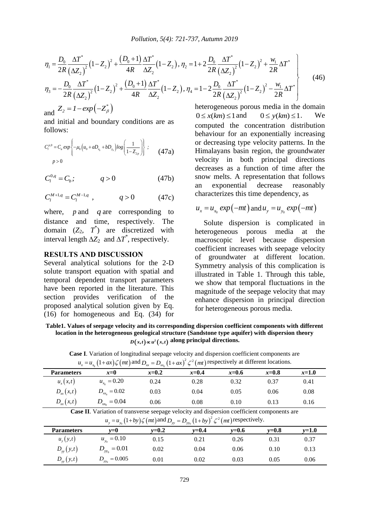$$
Pollution, 5(4): 721-737, Autumn 2019
$$
\n
$$
\eta_{1} = \frac{D_{0}}{2R} \frac{\Delta T^{*}}{(\Delta Z_{2})^{2}} \left(1 - Z_{2}\right)^{2} + \frac{\left(D_{0} + 1\right)}{4R} \frac{\Delta T^{*}}{\Delta Z_{2}} \left(1 - Z_{2}\right), \eta_{2} = 1 + 2 \frac{D_{0}}{2R} \frac{\Delta T^{*}}{\left(\Delta Z_{2}\right)^{2}} \left(1 - Z_{2}\right)^{2} + \frac{W_{1}}{2R} \Delta T^{*}
$$
\n
$$
\eta_{3} = -\frac{D_{0}}{2R} \frac{\Delta T^{*}}{\left(\Delta Z_{2}\right)^{2}} \left(1 - Z_{2}\right)^{2} + \frac{\left(D_{0} + 1\right)}{4R} \frac{\Delta T^{*}}{\Delta Z_{2}} \left(1 - Z_{2}\right), \eta_{4} = 1 - 2 \frac{D_{0}}{2R} \frac{\Delta T^{*}}{\left(\Delta Z_{2}\right)^{2}} \left(1 - Z_{2}\right)^{2} - \frac{W_{1}}{2R} \Delta T^{*}
$$
\n
$$
= \frac{1}{2R} \left(\frac{\Delta T^{*}}{\left(\Delta Z_{2}\right)^{2}} \left(1 - Z_{2}\right)^{2} + \frac{\left(D_{0} + 1\right)}{4R} \frac{\Delta T^{*}}{\Delta Z_{2}} \left(1 - Z_{2}\right), \eta_{4} = 1 - 2 \frac{D_{0}}{2R} \frac{\Delta T^{*}}{\left(\Delta Z_{2}\right)^{2}} \left(1 - Z_{2}\right)^{2} - \frac{W_{1}}{2R} \Delta T^{*}
$$
\n(46)

and  $Z_2 = 1 - exp(-Z^*_{\beta})$ 

and initial and boundary conditions are as follows:

**10110W8:**  
\n
$$
C_l^{p,0} = C_a \exp \left\{-\mu_0 \left(u_0 + aD_{x_0} + bD_{y_0}\right) \log \left(\frac{1}{1 - Z_{2p}}\right)\right\} ; \qquad (47a)
$$
\n
$$
p > 0
$$

$$
C_l^{0,q} = C_b; \qquad q > 0 \tag{47b}
$$

$$
C_l^{M+1,q} = C_l^{M-1,q} \t , \t q > 0 \t (47c)
$$

where,  $p$  and  $q$  are corresponding to distance and time, respectively. The domain  $(Z_2, T^*)$  are discretized with interval length  $\Delta Z_2$  and  $\Delta T^*$ , respectively.

# **RESULTS AND DISCUSSION**

Several analytical solutions for the 2-D solute transport equation with spatial and temporal dependent transport parameters have been reported in the literature. This section provides verification of the proposed analytical solution given by Eq. (16) for homogeneous and Eq. (34) for

heterogeneous porous media in the domain  $0 \leq x(km) \leq 1$  and  $0 \le y(km) \le 1$ . We computed the concentration distribution behaviour for an exponentially increasing or decreasing type velocity patterns. In the Himalayans basin region, the groundwater velocity in both principal directions decreases as a function of time after the snow melts. A representation that follows an exponential decrease reasonably characterizes this time dependency, as

$$
u_x = u_{x_0} \exp(-mt) \text{ and } u_y = u_{y_0} \exp(-mt)
$$

Solute dispersion is complicated in heterogeneous porous media at the macroscopic level because dispersion coefficient increases with seepage velocity of groundwater at different location. Symmetry analysis of this complication is illustrated in Table 1. Through this table, we show that temporal fluctuations in the magnitude of the seepage velocity that may enhance dispersion in principal direction for heterogeneous porous media.

**Table1. Values of seepage velocity and its corresponding dispersion coefficient components with different location in the heterogeneous geological structure (Sandstone type aquifer) with dispersion theory**   $D(x,t) \propto u^2(x,t)$  along principal directions.

| $u_x = u_{x_0} (1 + ax) \zeta (mt)$ and $D_{xx} = D_{xx_0} (1 + ax)^2 \zeta^2 (mt)$ respectively at different locations. |                       |         |         |         |         |         |  |
|--------------------------------------------------------------------------------------------------------------------------|-----------------------|---------|---------|---------|---------|---------|--|
| <b>Parameters</b>                                                                                                        | $x=0$                 | $x=0.2$ | $x=0.4$ | $x=0.6$ | $x=0.8$ | $x=1.0$ |  |
| $u_{x}(x,t)$                                                                                                             | $u_{x_0} = 0.20$      | 0.24    | 0.28    | 0.32    | 0.37    | 0.41    |  |
| $D_{xx}(x,t)$                                                                                                            | $D_{xx_0} = 0.02$     | 0.03    | 0.04    | 0.05    | 0.06    | 0.08    |  |
| $D_{xx}(x,t)$                                                                                                            | $D_{\rm xx_0} = 0.04$ | 0.06    | 0.08    | 0.10    | 0.13    | 0.16    |  |
| Case II. Variation of transverse seepage velocity and dispersion coefficient components are                              |                       |         |         |         |         |         |  |
| $u_y = u_{y_0} (1 + by) \zeta(mt)$ and $D_{yy} = D_{yy_0} (1 + by)^2 \zeta^2(mt)$ respectively.                          |                       |         |         |         |         |         |  |

**Case I**. Variation of longitudinal seepage velocity and dispersion coefficient components are  $D_{xx} = D_{xx_0} (1 + ax)^2 \zeta^2 (mt)$  $e^{2}$   $\ell$   $\lambda$  respectively at different.

| $u_y = u_{y_0} (1 + by) \zeta(mt)$ and $D_{yy} = D_{yy_0} (1 + by)^2 \zeta^2(mt)$ respectively. |                   |           |           |           |           |         |  |
|-------------------------------------------------------------------------------------------------|-------------------|-----------|-----------|-----------|-----------|---------|--|
| <b>Parameters</b>                                                                               | $v=0$             | $v = 0.2$ | $v = 0.4$ | $v = 0.6$ | $v = 0.8$ | $v=1.0$ |  |
| $u_{y}(y,t)$                                                                                    | $u_{y_0} = 0.10$  | 0.15      | 0.21      | 0.26      | 0.31      | 0.37    |  |
| $D_{yy}(y,t)$                                                                                   | $D_{yy_0} = 0.01$ | 0.02      | 0.04      | 0.06      | 0.10      | 0.13    |  |
| $D_{yy}(y,t)$                                                                                   | $= 0.005$<br>D    | 0.01      | 0.02      | 0.03      | 0.05      | 0.06    |  |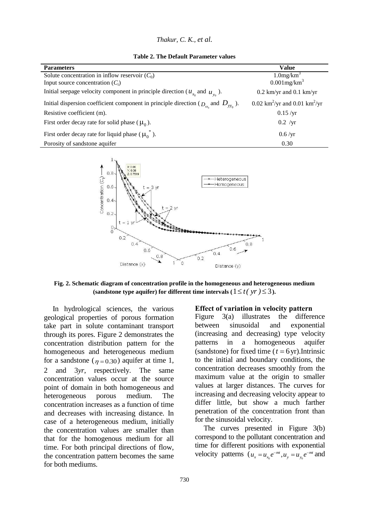|  | Thakur, C. K., et al. |  |  |  |  |
|--|-----------------------|--|--|--|--|
|--|-----------------------|--|--|--|--|

**Table 2. The Default Parameter values**

| <b>Parameters</b>                                                                          | Value                                                 |
|--------------------------------------------------------------------------------------------|-------------------------------------------------------|
| Solute concentration in inflow reservoir $(C_0)$                                           | $1.0$ mg/km <sup>3</sup>                              |
| Input source concentration $(C_i)$                                                         | $0.001$ mg/km <sup>3</sup>                            |
| Initial seepage velocity component in principle direction ( $u_{r_n}$ and $u_{v_n}$ ).     | $0.2$ km/yr and $0.1$ km/yr                           |
| Initial dispersion coefficient component in principle direction ( $D_{xx}$ and $D_{yy}$ ). | 0.02 km <sup>2</sup> /yr and 0.01 km <sup>2</sup> /yr |
| Resistive coefficient (m).                                                                 | 0.15/yr                                               |
| First order decay rate for solid phase ( $\mu_0$ ).                                        | $0.2$ /yr                                             |
| First order decay rate for liquid phase $(\mu_{0}^{*})$ .                                  | 0.6/yr                                                |
| Porosity of sandstone aquifer                                                              | 0.30                                                  |



**Fig. 2. Schematic diagram of concentration profile in the homogeneous and heterogeneous medium**  (sandstone type aquifer) for different time intervals  $(1 \le t(yr) \le 3)$ .

In hydrological sciences, the various geological properties of porous formation take part in solute contaminant transport through its pores. Figure 2 demonstrates the concentration distribution pattern for the homogeneous and heterogeneous medium for a sandstone ( $\eta = 0.30$ ) aquifer at time 1, 2 and 3*yr*, respectively. The same concentration values occur at the source point of domain in both homogeneous and heterogeneous porous medium. The concentration increases as a function of time and decreases with increasing distance. In case of a heterogeneous medium, initially the concentration values are smaller than that for the homogenous medium for all time. For both principal directions of flow, the concentration pattern becomes the same for both mediums.

#### **Effect of variation in velocity pattern**

Figure 3(a) illustrates the difference between sinusoidal and exponential (increasing and decreasing) type velocity patterns in a homogeneous aquifer (sandstone) for fixed time  $(t = 6$ yr).Intrinsic to the initial and boundary conditions, the concentration decreases smoothly from the maximum value at the origin to smaller values at larger distances. The curves for increasing and decreasing velocity appear to differ little, but show a much farther penetration of the concentration front than for the sinusoidal velocity.

The curves presented in Figure 3(b) correspond to the pollutant concentration and time for different positions with exponential velocity patterns  $(u_x = u_{x_0}e^{-mt}, u_y = u_{y_0}e^{-mt}$  and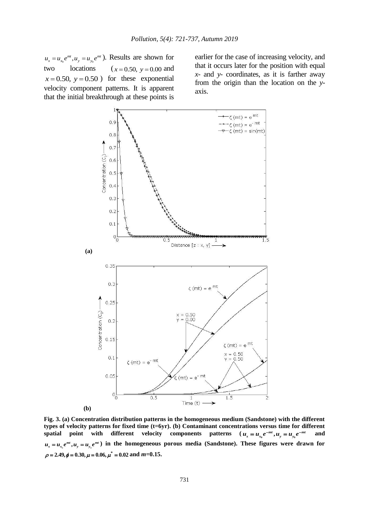$u_x = u_{x_0} e^{mt}$ ,  $u_y = u_{y_0} e^{mt}$ . Results are shown for two locations  $x = 0.50$ ,  $y = 0.00$  and  $x = 0.50$ ,  $y = 0.50$  for these exponential velocity component patterns. It is apparent that the initial breakthrough at these points is

earlier for the case of increasing velocity, and that it occurs later for the position with equal *x-* and *y-* coordinates, as it is farther away from the origin than the location on the *y*axis.



**Fig. 3. (a) Concentration distribution patterns in the homogeneous medium (Sandstone) with the different types of velocity patterns for fixed time (t=6yr). (b) Contaminant concentrations versus time for different**  spatial point with different velocity components patterns  $u_x = u_{x_0} e^{-mt}$ ,  $u_y = u_{y_0} e^{-mt}$ **and**  $u_x = u_{x_0} e^{mt}$ ,  $u_y = u_{y_0} e^{mt}$ ) in the homogeneous porous media (Sandstone). These figures were drawn for  $\rho = 2.49, \phi = 0.30, \mu = 0.06, \mu^* = 0.02 \text{ and } m = 0.15.$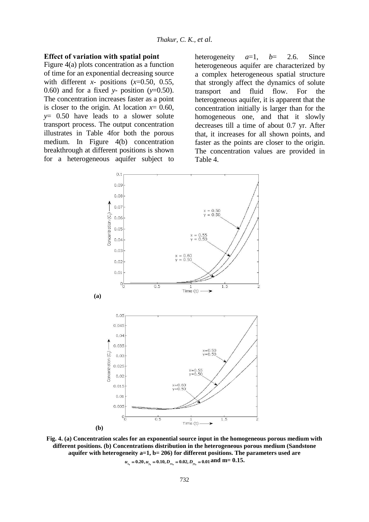#### **Effect of variation with spatial point**

Figure 4(a) plots concentration as a function of time for an exponential decreasing source with different *x-* positions (*x*=0.50, 0.55, 0.60) and for a fixed *y-* position (*y*=0.50). The concentration increases faster as a point is closer to the origin. At location  $x=0.60$ , *y*= 0.50 have leads to a slower solute transport process. The output concentration illustrates in Table 4for both the porous medium. In Figure 4(b) concentration breakthrough at different positions is shown for a heterogeneous aquifer subject to heterogeneity  $a=1$ ,  $b=-2.6$ . Since heterogeneous aquifer are characterized by a complex heterogeneous spatial structure that strongly affect the dynamics of solute transport and fluid flow. For the heterogeneous aquifer, it is apparent that the concentration initially is larger than for the homogeneous one, and that it slowly decreases till a time of about 0.7 yr. After that, it increases for all shown points, and faster as the points are closer to the origin. The concentration values are provided in Table 4.



**Fig. 4. (a) Concentration scales for an exponential source input in the homogeneous porous medium with different positions. (b) Concentrations distribution in the heterogeneous porous medium (Sandstone aquifer with heterogeneity a=1, b= 206) for different positions. The parameters used are 0 0 0 0 0.20, 0.10, 0.02, 0.01** *u u D D x y xx yy* **and m= 0.15.**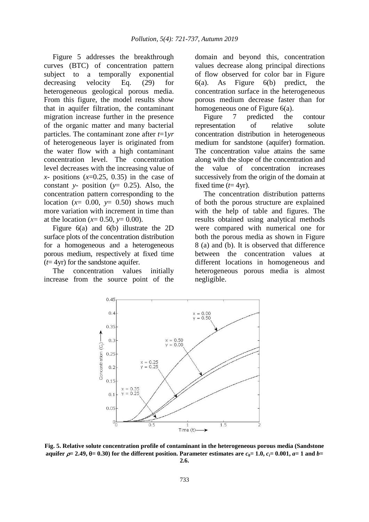Figure 5 addresses the breakthrough curves (BTC) of concentration pattern subject to a temporally exponential decreasing velocity Eq. (29) for heterogeneous geological porous media. From this figure, the model results show that in aquifer filtration, the contaminant migration increase further in the presence of the organic matter and many bacterial particles. The contaminant zone after *t*=1*yr* of heterogeneous layer is originated from the water flow with a high contaminant concentration level. The concentration level decreases with the increasing value of  $x$ - positions  $(x=0.25, 0.35)$  in the case of constant *y-* position (*y*= 0.25). Also, the concentration pattern corresponding to the location  $(x= 0.00, y= 0.50)$  shows much more variation with increment in time than at the location ( $x=0.50$ ,  $y=0.00$ ).

Figure 6(a) and 6(b) illustrate the 2D surface plots of the concentration distribution for a homogeneous and a heterogeneous porous medium, respectively at fixed time  $(t=4yr)$  for the sandstone aquifer.

The concentration values initially increase from the source point of the domain and beyond this, concentration values decrease along principal directions of flow observed for color bar in Figure 6(a). As Figure 6(b) predict, the concentration surface in the heterogeneous porous medium decrease faster than for homogeneous one of Figure 6(a).

Figure 7 predicted the contour representation of relative solute concentration distribution in heterogeneous medium for sandstone (aquifer) formation. The concentration value attains the same along with the slope of the concentration and the value of concentration increases successively from the origin of the domain at fixed time  $(t=4yr)$ .

The concentration distribution patterns of both the porous structure are explained with the help of table and figures. The results obtained using analytical methods were compared with numerical one for both the porous media as shown in Figure 8 (a) and (b). It is observed that difference between the concentration values at different locations in homogeneous and heterogeneous porous media is almost negligible.



**Fig. 5. Relative solute concentration profile of contaminant in the heterogeneous porous media (Sandstone aquifer**  $\rho = 2.49, \theta = 0.30$  for the different position. Parameter estimates are  $c_0 = 1.0, c_i = 0.001, a = 1$  and  $b = 1$ **2.6.**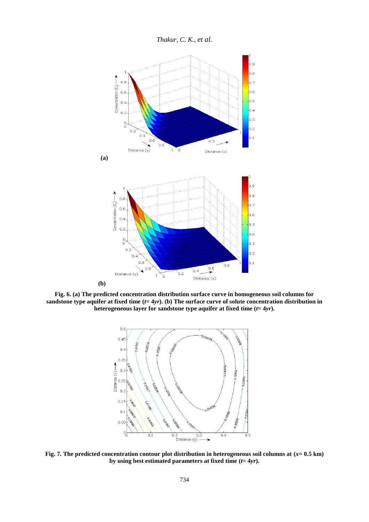*Thakur, C. K., et al.*



**Fig. 6. (a) The predicted concentration distribution surface curve in homogeneous soil columns for sandstone type aquifer at fixed time (***t***= 4***yr***). (b) The surface curve of solute concentration distribution in heterogeneous layer for sandstone type aquifer at fixed time**  $(t=4yr)$ **.** 



**Fig. 7. The predicted concentration contour plot distribution in heterogeneous soil columns at (***x***= 0.5 km) by using best estimated parameters at fixed time (***t***= 4***yr***).**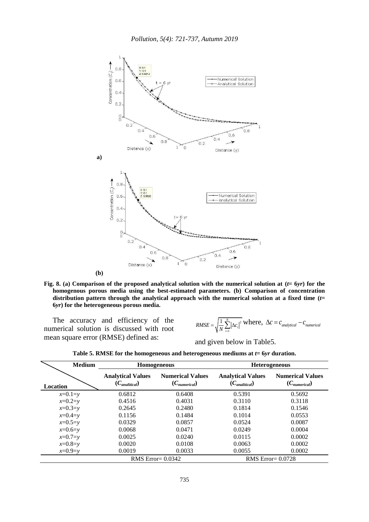

**Fig.** 8. (a) Comparison of the proposed analytical solution with the numerical solution at  $(t=6yr)$  for the **homogenous porous media using the best-estimated parameters. (b) Comparison of concentration distribution pattern through the analytical approach with the numerical solution at a fixed time (***t***= 6***yr***) for the heterogeneous porous media.**

The accuracy and efficiency of the numerical solution is discussed with root mean square error (RMSE) defined as:

2 1  $1 \leftarrow N$  $RMSE = \sqrt{\frac{1}{N} \sum_{i=1}^{N} |\Delta c_i|^2}$  where,  $\Delta c = c_{analytical} - c_{numerical}$ 

and given below in Table5.

|  |  | Table 5. RMSE for the homogeneous and heterogeneous mediums at $t = 6yr$ duration. |  |  |
|--|--|------------------------------------------------------------------------------------|--|--|
|  |  |                                                                                    |  |  |

| <b>Medium</b>   |                                                         | <b>Homogeneous</b>                           | <b>Heterogeneous</b>                                    |                                              |  |
|-----------------|---------------------------------------------------------|----------------------------------------------|---------------------------------------------------------|----------------------------------------------|--|
| <b>Location</b> | <b>Analytical Values</b><br>$(C_{\textit{analytical}})$ | <b>Numerical Values</b><br>$(C_{numerical})$ | <b>Analytical Values</b><br>$(C_{\textit{analytical}})$ | <b>Numerical Values</b><br>$(C_{numerical})$ |  |
| $x=0.1=y$       | 0.6812                                                  | 0.6408                                       | 0.5391                                                  | 0.5692                                       |  |
| $x=0.2=y$       | 0.4516                                                  | 0.4031                                       | 0.3110                                                  | 0.3118                                       |  |
| $x=0.3=y$       | 0.2645                                                  | 0.2480                                       | 0.1814                                                  | 0.1546                                       |  |
| $x=0.4=y$       | 0.1156                                                  | 0.1484                                       | 0.1014                                                  | 0.0553                                       |  |
| $x=0.5=y$       | 0.0329                                                  | 0.0857                                       | 0.0524                                                  | 0.0087                                       |  |
| $x=0.6=y$       | 0.0068                                                  | 0.0471                                       | 0.0249                                                  | 0.0004                                       |  |
| $x=0.7=y$       | 0.0025                                                  | 0.0240                                       | 0.0115                                                  | 0.0002                                       |  |
| $x=0.8=y$       | 0.0020                                                  | 0.0108                                       | 0.0063                                                  | 0.0002                                       |  |
| $x=0.9=y$       | 0.0019                                                  | 0.0033                                       | 0.0055                                                  | 0.0002                                       |  |
|                 | RMS Error= $0.0342$                                     |                                              |                                                         | <b>RMS</b> Error= 0.0728                     |  |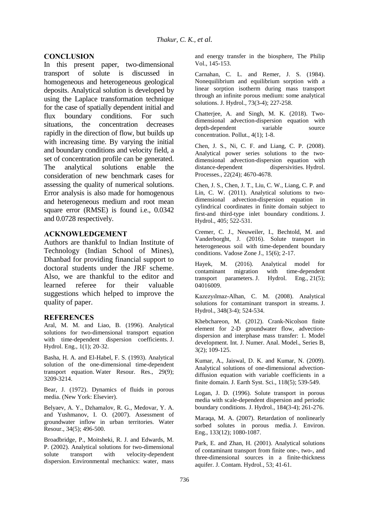# **CONCLUSION**

In this present paper, two-dimensional transport of solute is discussed in homogeneous and heterogeneous geological deposits. Analytical solution is developed by using the Laplace transformation technique for the case of spatially dependent initial and flux boundary conditions. For such situations, the concentration decreases rapidly in the direction of flow, but builds up with increasing time. By varying the initial and boundary conditions and velocity field, a set of concentration profile can be generated. The analytical solutions enable the consideration of new benchmark cases for assessing the quality of numerical solutions. Error analysis is also made for homogenous and heterogeneous medium and root mean square error (RMSE) is found i.e., 0.0342 and 0.0728 respectively.

# **ACKNOWLEDGEMENT**

Authors are thankful to Indian Institute of Technology (Indian School of Mines), Dhanbad for providing financial support to doctoral students under the JRF scheme. Also, we are thankful to the editor and learned referee for their valuable suggestions which helped to improve the quality of paper.

#### **REFERENCES**

Aral, M. M. and Liao, B. (1996). Analytical solutions for two-dimensional transport equation with time-dependent dispersion coefficients. J. Hydrol. Eng., 1(1); 20-32.

Basha, H. A. and El-Habel, F. S. (1993). Analytical solution of the one-dimensional time-dependent transport equation. Water Resour. Res., 29(9); 3209-3214.

Bear, J. (1972). Dynamics of fluids in porous media. (New York: Elsevier).

Belyaev, A. Y., Dzhamalov, R. G., Medovar, Y. A. and Yushmanov, I. O. (2007). Assessment of groundwater inflow in urban territories. Water Resour., 34(5); 496-500.

Broadbridge, P., Moitsheki, R. J. and Edwards, M. P. (2002). Analytical solutions for two-dimensional solute transport with velocity-dependent dispersion. Environmental mechanics: water, mass and energy transfer in the biosphere, The Philip Vol., 145-153.

Carnahan, C. L. and Remer, J. S. (1984). Nonequilibrium and equilibrium sorption with a linear sorption isotherm during mass transport through an infinite porous medium: some analytical solutions. J. Hydrol., 73(3-4); 227-258.

Chatterjee, A. and Singh, M. K. (2018). Twodimensional advection-dispersion equation with<br>denth-dependent variable source depth-dependent variable source concentration. Pollut., 4(1); 1-8.

Chen, J. S., Ni, C. F. and Liang, C. P. (2008). Analytical power series solutions to the twodimensional advection-dispersion equation with<br>distance-dependent dispersivities. Hydrol. dispersivities. Hydrol. Processes., 22(24); 4670-4678.

Chen, J. S., Chen, J. T., Liu, C. W., Liang, C. P. and Lin, C. W. (2011). Analytical solutions to twodimensional advection-dispersion equation in cylindrical coordinates in finite domain subject to first-and third-type inlet boundary conditions. J. Hydrol., 405; 522-531.

Cremer, C. J., Neuweiler, I., Bechtold, M. and Vanderborght, J. (2016). Solute transport in heterogeneous soil with time-dependent boundary conditions. Vadose Zone J., 15(6); 2-17.

Hayek, M. (2016). Analytical model for contaminant migration with time-dependent transport parameters. J. Hydrol. Eng., 21(5); 04016009.

Kazezyılmaz-Alhan, C. M. (2008). Analytical solutions for contaminant transport in streams. J. Hydrol., 348(3-4); 524-534.

Khebchareon, M. (2012). Crank-Nicolson finite element for 2-D groundwater flow, advectiondispersion and interphase mass transfer: 1. Model development. Int. J. Numer. Anal. Model., Series B, 3(2); 109-125.

Kumar, A., Jaiswal, D. K. and Kumar, N. (2009). Analytical solutions of one-dimensional advectiondiffusion equation with variable coefficients in a finite domain. J. Earth Syst. Sci., 118(5); 539-549.

Logan, J. D. (1996). Solute transport in porous media with scale-dependent dispersion and periodic boundary conditions. J. Hydrol., 184(3-4); 261-276.

Maraqa, M. A. (2007). Retardation of nonlinearly sorbed solutes in porous media. J. Environ. Eng., 133(12); 1080-1087.

Park, E. and Zhan, H. (2001). Analytical solutions of contaminant transport from finite one-, two-, and three-dimensional sources in a finite-thickness aquifer. J. Contam. Hydrol., 53; 41-61.